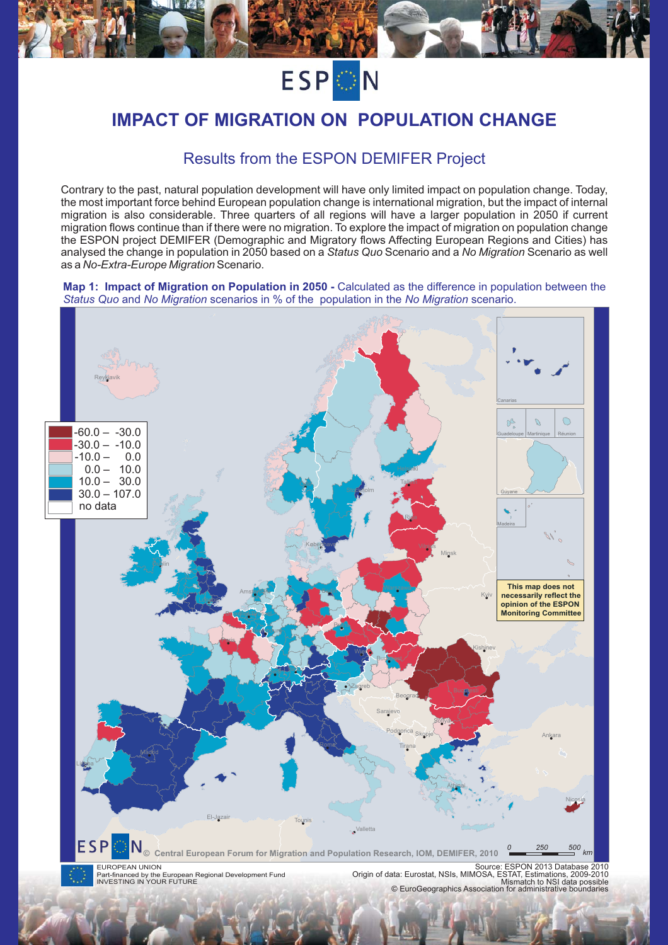

# **IMPACT OF MIGRATION ON POPULATION CHANGE**

## Results from the ESPON DEMIFER Project

Contrary to the past, natural population development will have only limited impact on population change. Today, the most important force behind European population change is international migration, but the impact of internal migration is also considerable. Three quarters of all regions will have a larger population in 2050 if current migration flows continue than if there were no migration. To explore the impact of migration on population change the ESPON project DEMIFER (Demographic and Migratory flows Affecting European Regions and Cities) has analysed the change in population in 2050 based on a *Status Quo* Scenario and a *No Migration* Scenario as well<br>as a *No-Extra-Eurone Migration* Scenario as a *No-Extra-Europe Migration* Scenario.<br>.

**Map 1: Impact of Migration on Population in 2050 -** Calculated as the difference in population between the *Status Quo and No Migration scenarios in* % of the population in the No Migration scenario.

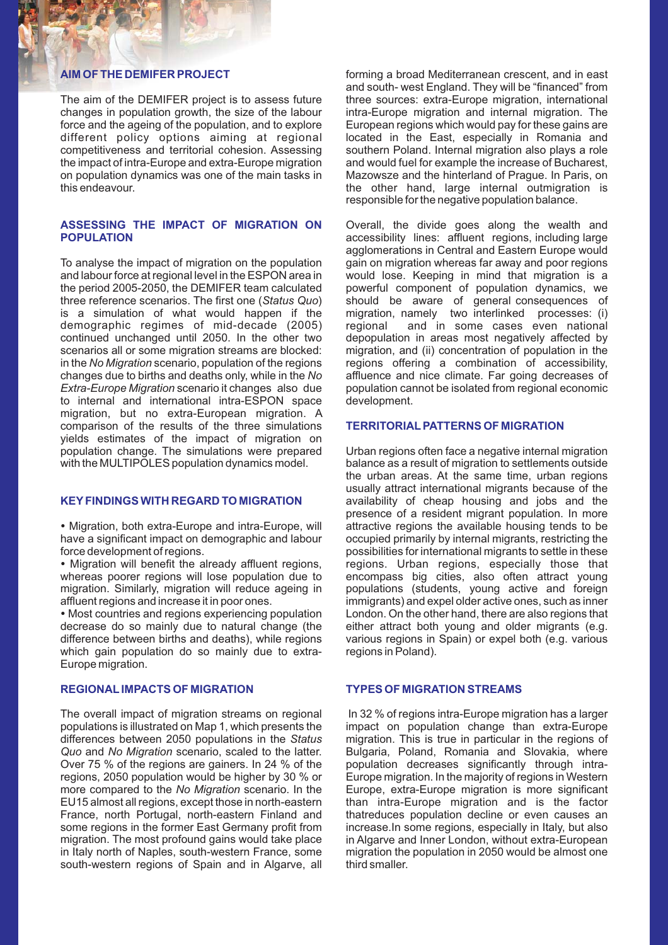### **AIM OF THE DEMIFER PROJECT**

The aim of the DEMIFER project is to assess future changes in population growth, the size of the labour force and the ageing of the population, and to explore different policy options aiming at regional competitiveness and territorial cohesion. Assessing the impact of intra-Europe and extra-Europe migration on population dynamics was one of the main tasks in this endeavour.

#### **ASSESSING THE IMPACT OF MIGRATION ON POPULATION**

To analyse the impact of migration on the population and labour force at regional level in the ESPON area in the period 2005-2050, the DEMIFER team calculated three reference scenarios. The first one (Status Quo) is a simulation of what would happen if the demographic regimes of mid-decade (2005) continued unchanged until 2050. In the other two scenarios all or some migration streams are blocked: in the No Migration scenario, population of the regions changes due to births and deaths only, while in the scenario it changes also due to internal and international intra-ESPON space migration, but no extra-European migration. A comparison of the results of the three simulations yields estimates of the impact of migration on population change. The simulations were prepared with the MULTIPOLES population dynamics model.

#### **KEY FINDINGS WITH REGARD TO MIGRATION**

Migration, both extra-Europe and intra-Europe, will have a significant impact on demographic and labour force development of regions. -

Migration will benefit the already affluent regions, whereas poorer regions will lose population due to migration. Similarly, migration will reduce ageing in affluent regions and increase it in poor ones. -

Most countries and regions experiencing population decrease do so mainly due to natural change (the difference between births and deaths), while regions which gain population do so mainly due to extra-Europe migration.

### **REGIONAL IMPACTS OF MIGRATION**

The overall impact of migration streams on regional populations is illustrated on Map 1, which presents the differences between 2050 populations in the Status and No Migration scenario, scaled to the latter. Over 75 % of the regions are gainers. In 24 % of the regions, 2050 population would be higher by 30 % or more compared to the No Migration scenario. In the EU15 almost all regions, except those in north-eastern *No Migration* France, north Portugal, north-eastern Finland and some regions in the former East Germany profit from migration. The most profound gains would take place in Italy north of Naples, south-western France, some south-western regions of Spain and in Algarve, all

forming a broad Mediterranean crescent, and in east and south- west England. They will be "financed" from three sources: extra-Europe migration, international intra-Europe migration and internal migration. The European regions which would pay for these gains are located in the East, especially in Romania and southern Poland. Internal migration also plays a role and would fuel for example the increase of Bucharest, Mazowsze and the hinterland of Prague. In Paris, on the other hand, large internal outmigration is responsible for the negative population balance.

Overall, the divide goes along the wealth and accessibility lines: affluent regions, including large agglomerations in Central and Eastern Europe would gain on migration whereas far away and poor regions would lose. Keeping in mind that migration is a powerful component of population dynamics, we should be aware of general consequences of migration, namely two interlinked processes: (i) regional and in some cases even national depopulation in areas most negatively affected by migration, and (ii) concentration of population in the regions offering a combination of accessibility, affluence and nice climate. Far going decreases of population cannot be isolated from regional economic development.

### **TERRITORIAL PATTERNS OF MIGRATION**

Urban regions often face a negative internal migration balance as a result of migration to settlements outside the urban areas. At the same time, urban regions usually attract international migrants because of the availability of cheap housing and jobs and the presence of a resident migrant population. In more attractive regions the available housing tends to be occupied primarily by internal migrants, restricting the possibilities for international migrants to settle in these regions. Urban regions, especially those that encompass big cities, also often attract young populations (students, young active and foreign immigrants) and expel older active ones, such as inner London. On the other hand, there are also regions that either attract both young and older migrants (e.g. various regions in Spain) or expel both (e.g. various regions in Poland).

#### **TYPES OF MIGRATION STREAMS**

In 32 % of regions intra-Europe migration has a larger impact on population change than extra-Europe migration. This is true in particular in the regions of Bulgaria, Poland, Romania and Slovakia, where population decreases significantly through intra-Europe migration. In the majority of regions in Western Europe, extra-Europe migration is more significant than intra-Europe migration and is the factor thatreduces population decline or even causes an increase.In some regions, especially in Italy, but also in Algarve and Inner London, without extra-European migration the population in 2050 would be almost one third smaller.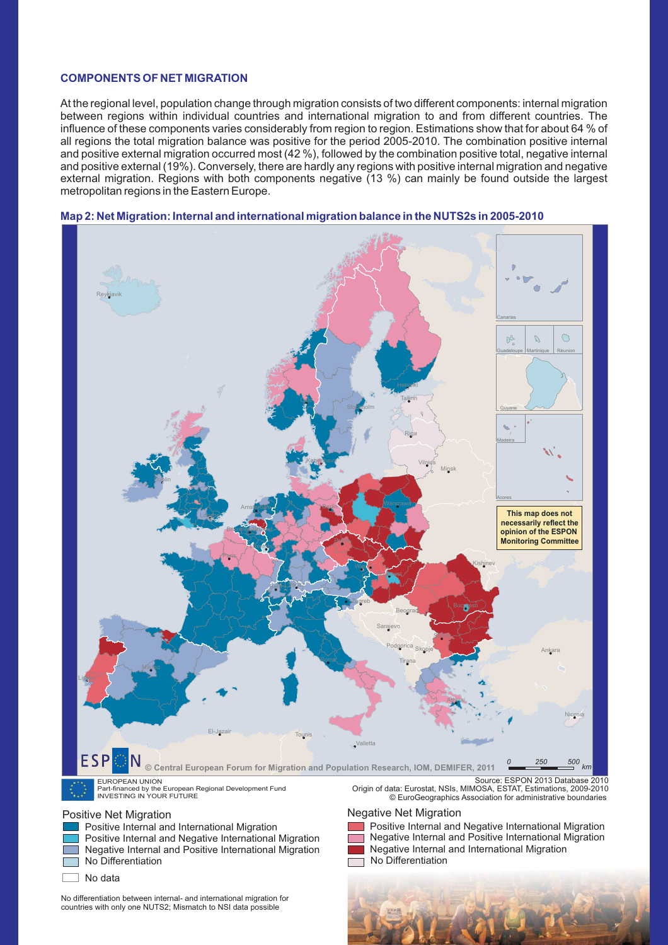#### **COMPONENTS OF NET MIGRATION**

At the regional level, population change through migration consists of two different components: internal migration between regions within individual countries and international migration to and from different countries. The influence of these components varies considerably from region to region. Estimations show that for about 64 % of all regions the total migration balance was positive for the period 2005-2010. The combination positive internal and positive external migration occurred most (42 %), followed by the combination positive total, negative internal and positive external (19%). Conversely, there are hardly any regions with positive internal migration and negative external migration. Regions with both components negative (13 %) can mainly be found outside the largest metropolitan regions in the Eastern Europe.



### Map 2: Net Migration: Internal and international migration balance in the NUTS2s in 2005-2010

EUROPEAN UNION Part-financed by the European Regional Development Fund INVESTING IN YOUR FUTURE

Positive Internal and International Migration

Positive Internal and Negative International Migration Negative Internal and Positive International Migration No Differentiation No Differentiation

٦ No data

No differentiation between internal- and international migration for countries with only one NUTS2; Mismatch to NSI data possible

Origin of data: Eurostat, NSIs, MIMOSA, ESTAT, Estimations, 2009-2010 © EuroGeographics Association for administrative boundaries

#### Positive Net Migration **Negative Net Migration**

Positive Internal and Negative International Migration Negative Internal and Positive International Migration Negative Internal and International Migration